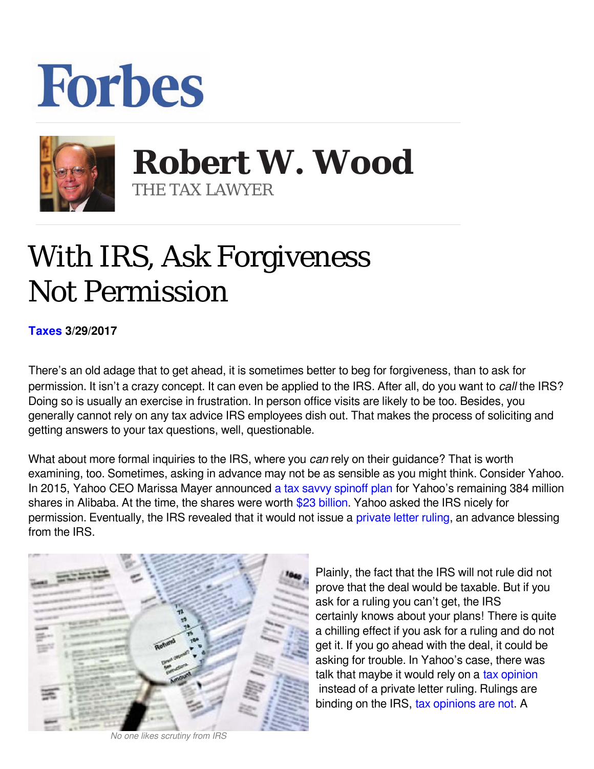## **Forbes**



**Robert W. Wood Robert W. Wood** THE TAX LAWYER THE TAX LAWYER

## With IRS, Ask Forgiveness Not Permission

**[Taxes](https://www.forbes.com/taxes) 3/29/2017** 

There's an old adage that to get ahead, it is sometimes better to beg for forgiveness, than to ask for permission. It isn't a crazy concept. It can even be applied to the IRS. After all, do you want to *call* the IRS? Doing so is usually an exercise in frustration. In person office visits are likely to be too. Besides, you generally cannot rely on any tax advice IRS employees dish out. That makes the process of soliciting and getting answers to your tax questions, well, questionable.

What about more formal inquiries to the IRS, where you can rely on their guidance? That is worth examining, too. Sometimes, asking in advance may not be as sensible as you might think. Consider Yahoo. In 2015, Yahoo CEO Marissa Mayer announced [a tax savvy spinoff plan](http://www.forbes.com/sites/robertwood/2015/01/27/how-yahoos-alibaba-sale-skirts-tax-billions-buffett-like/) for Yahoo's remaining 384 million shares in Alibaba. At the time, the shares were worth  $$23$  billion. Yahoo asked the IRS nicely for permission. Eventually, the IRS revealed that it would not issue a [private letter ruling,](http://www.irs.gov/irb/2015-1_IRB/ar07.html#d0e1367) an advance blessing from the IRS.



*No one likes scrutiny from IRS*

Plainly, the fact that the IRS will not rule did not prove that the deal would be taxable. But if you ask for a ruling you can't get, the IRS certainly knows about your plans! There is quite a chilling effect if you ask for a ruling and do not get it. If you go ahead with the deal, it could be asking for trouble. In Yahoo's case, there was talk that maybe it would rely on a [tax opinion](http://www.forbes.com/sites#/sites/robertwood/2011/01/18/why-tax-opinions-are-valuable/) instead of a private letter ruling. Rulings are binding on the IRS, [tax opinions are not.](http://www.forbes.com/sites#/sites/robertwood/2015/07/07/ten-myths-about-tax-opinions/) A